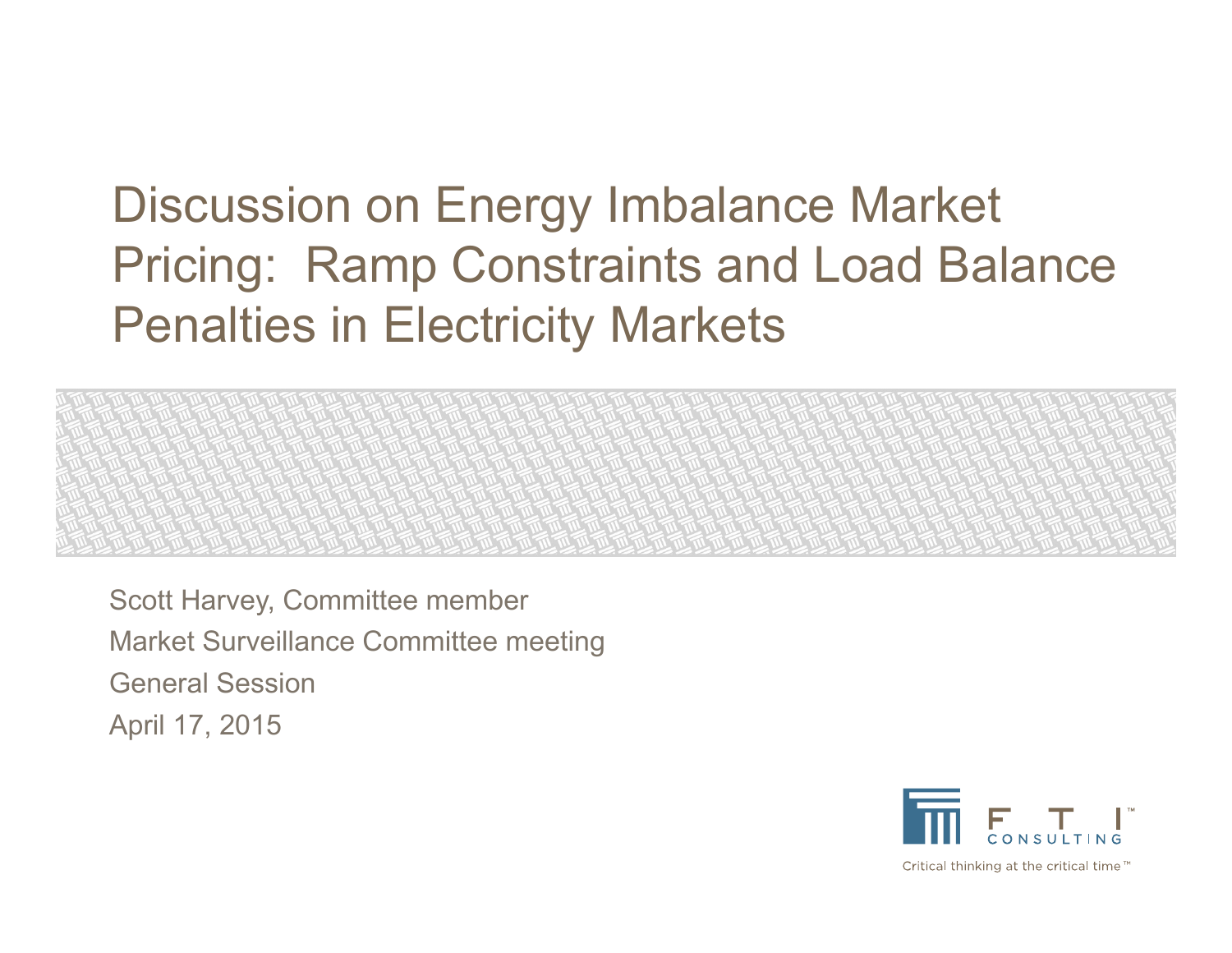# Discussion on Energy Imbalance Market Pricing: Ramp Constraints and Load Balance Penalties in Electricity Markets

Scott Harvey, Committee member Market Surveillance Committee meeting General SessionApril 17, 2015

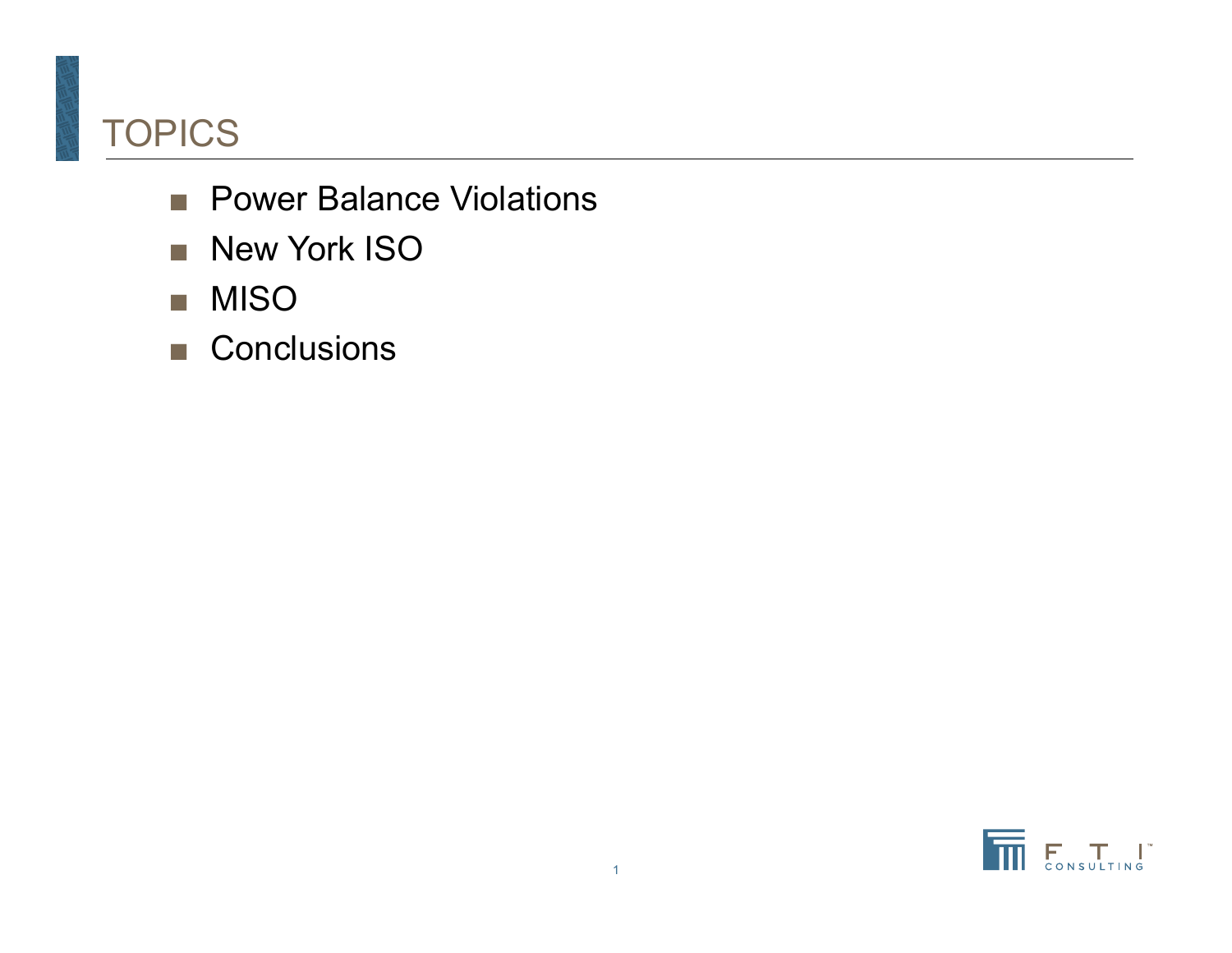# TOPICS

- Power Balance Violations
- New York ISO
- MISO
- Conclusions

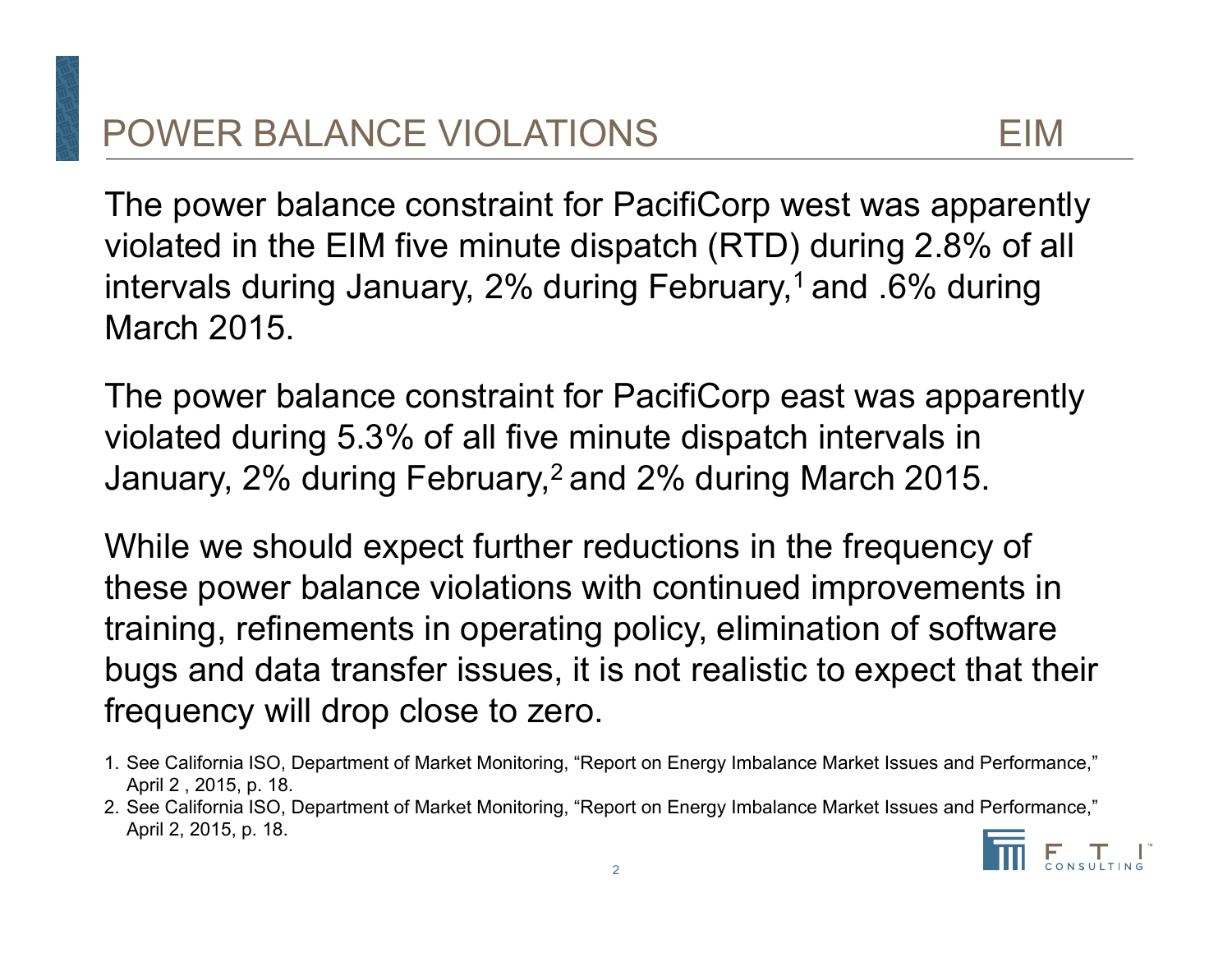The power balance constraint for PacifiCorp west was apparently violated in the EIM five minute dispatch (RTD) during 2.8% of all intervals during January, 2% during February,<sup>1</sup> and .6% during March 2015.

The power balance constraint for PacifiCorp east was apparently violated during 5.3% of all five minute dispatch intervals in January, 2% during February,<sup>2</sup> and 2% during March 2015.

While we should expect further reductions in the frequency of these power balance violations with continued improvements in training, refinements in operating policy, elimination of software bugs and data transfer issues, it is not realistic to expect that their frequency will drop close to zero.

- 1. See California ISO, Department of Market Monitoring, "Report on Energy Imbalance Market Issues and Performance," April 2 , 2015, p. 18.
- 2. See California ISO, Department of Market Monitoring, "Report on Energy Imbalance Market Issues and Performance," April 2, 2015, p. 18.

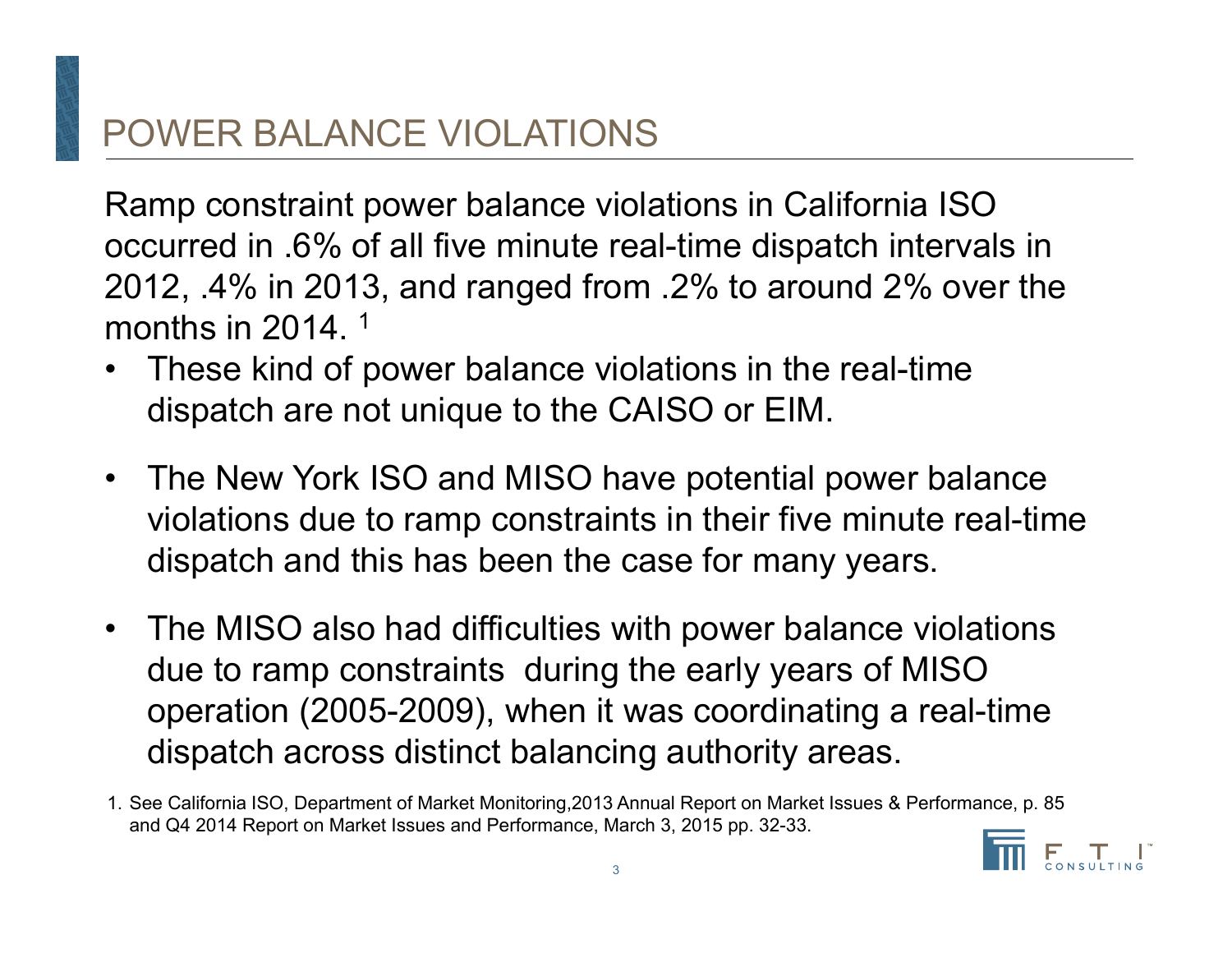# POWER BALANCE VIOLATIONS

Ramp constraint power balance violations in California ISO occurred in .6% of all five minute real-time dispatch intervals in 2012, .4% in 2013, and ranged from .2% to around 2% over the months in 2014. 1

- • These kind of power balance violations in the real-time dispatch are not unique to the CAISO or EIM.
- $\bullet$  The New York ISO and MISO have potential power balance violations due to ramp constraints in their five minute real-time dispatch and this has been the case for many years.
- $\bullet$  The MISO also had difficulties with power balance violations due to ramp constraints during the early years of MISO operation (2005-2009), when it was coordinating a real-time dispatch across distinct balancing authority areas.

<sup>1.</sup> See California ISO, Department of Market Monitoring,2013 Annual Report on Market Issues & Performance, p. 85 and Q4 2014 Report on Market Issues and Performance, March 3, 2015 pp. 32-33.

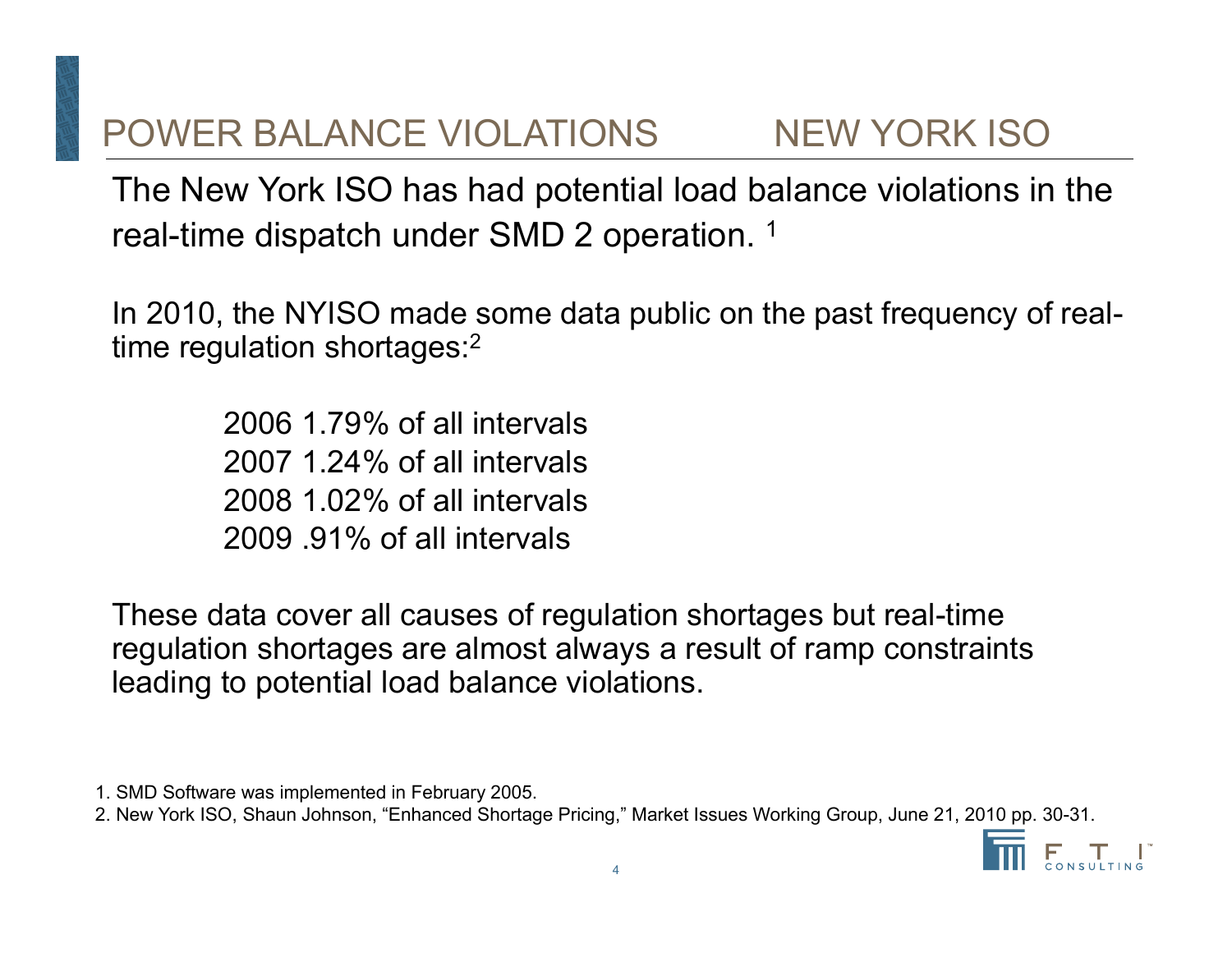# POWER BALANCE VIOLATIONS NEW YORK ISO

The New York ISO has had potential load balance violations in the real-time dispatch under SMD 2 operation. 1

In 2010, the NYISO made some data public on the past frequency of realtime regulation shortages: 2

> 2006 1.79% of all intervals2007 1.24% of all intervals2008 1.02% of all intervals2009 .91% of all intervals

These data cover all causes of regulation shortages but real-time regulation shortages are almost always a result of ramp constraints leading to potential load balance violations.

- 1. SMD Software was implemented in February 2005.
- 2. New York ISO, Shaun Johnson, "Enhanced Shortage Pricing," Market Issues Working Group, June 21, 2010 pp. 30-31.

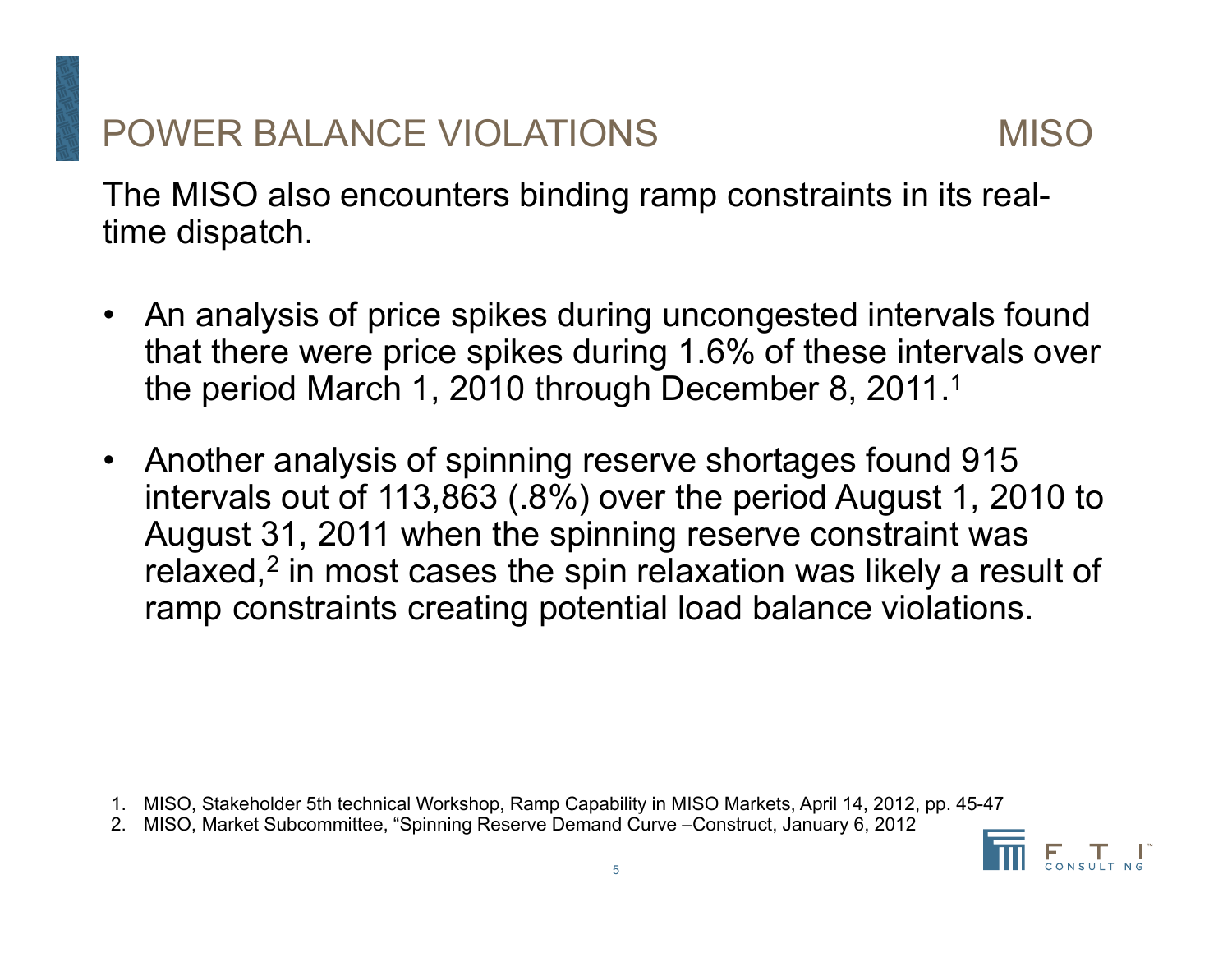The MISO also encounters binding ramp constraints in its realtime dispatch.

- $\bullet$  An analysis of price spikes during uncongested intervals found that there were price spikes during 1.6% of these intervals over the period March 1, 2010 through December 8, 2011.<sup>1</sup>
- • Another analysis of spinning reserve shortages found 915 intervals out of 113,863 (.8%) over the period August 1, 2010 to August 31, 2011 when the spinning reserve constraint was relaxed, 2 in most cases the spin relaxation was likely a result of ramp constraints creating potential load balance violations.

- 1. MISO, Stakeholder 5th technical Workshop, Ramp Capability in MISO Markets, April 14, 2012, pp. 45-47
- 2. MISO, Market Subcommittee, "Spinning Reserve Demand Curve –Construct, January 6, 2012

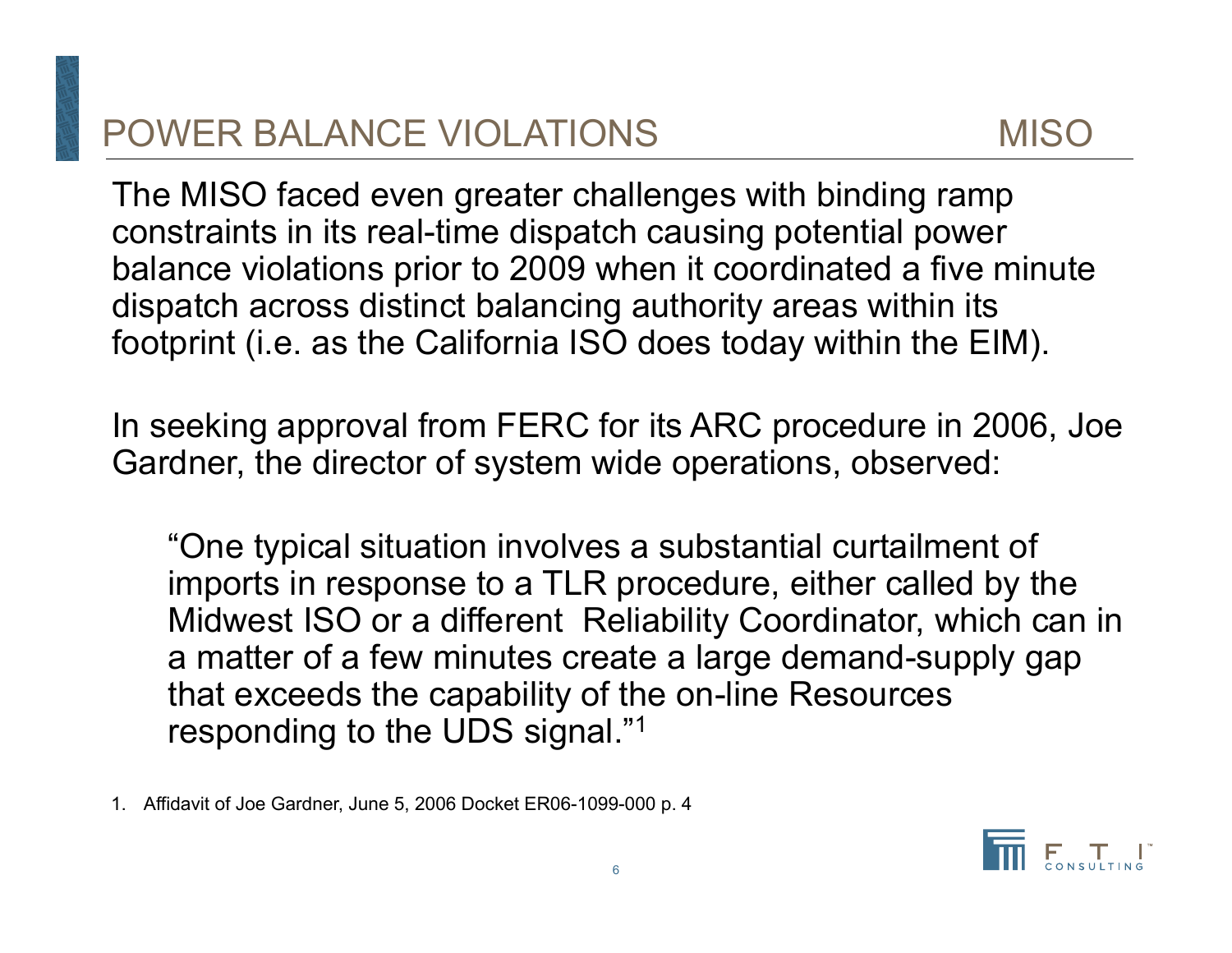The MISO faced even greater challenges with binding ramp constraints in its real-time dispatch causing potential power balance violations prior to 2009 when it coordinated a five minute dispatch across distinct balancing authority areas within its footprint (i.e. as the California ISO does today within the EIM).

In seeking approval from FERC for its ARC procedure in 2006, Joe Gardner, the director of system wide operations, observed:

"One typical situation involves a substantial curtailment of imports in response to a TLR procedure, either called by the Midwest ISO or a different Reliability Coordinator, which can in a matter of a few minutes create a large demand-supply gap that exceeds the capability of the on-line Resources responding to the UDS signal."1

1. Affidavit of Joe Gardner, June 5, 2006 Docket ER06-1099-000 p. 4

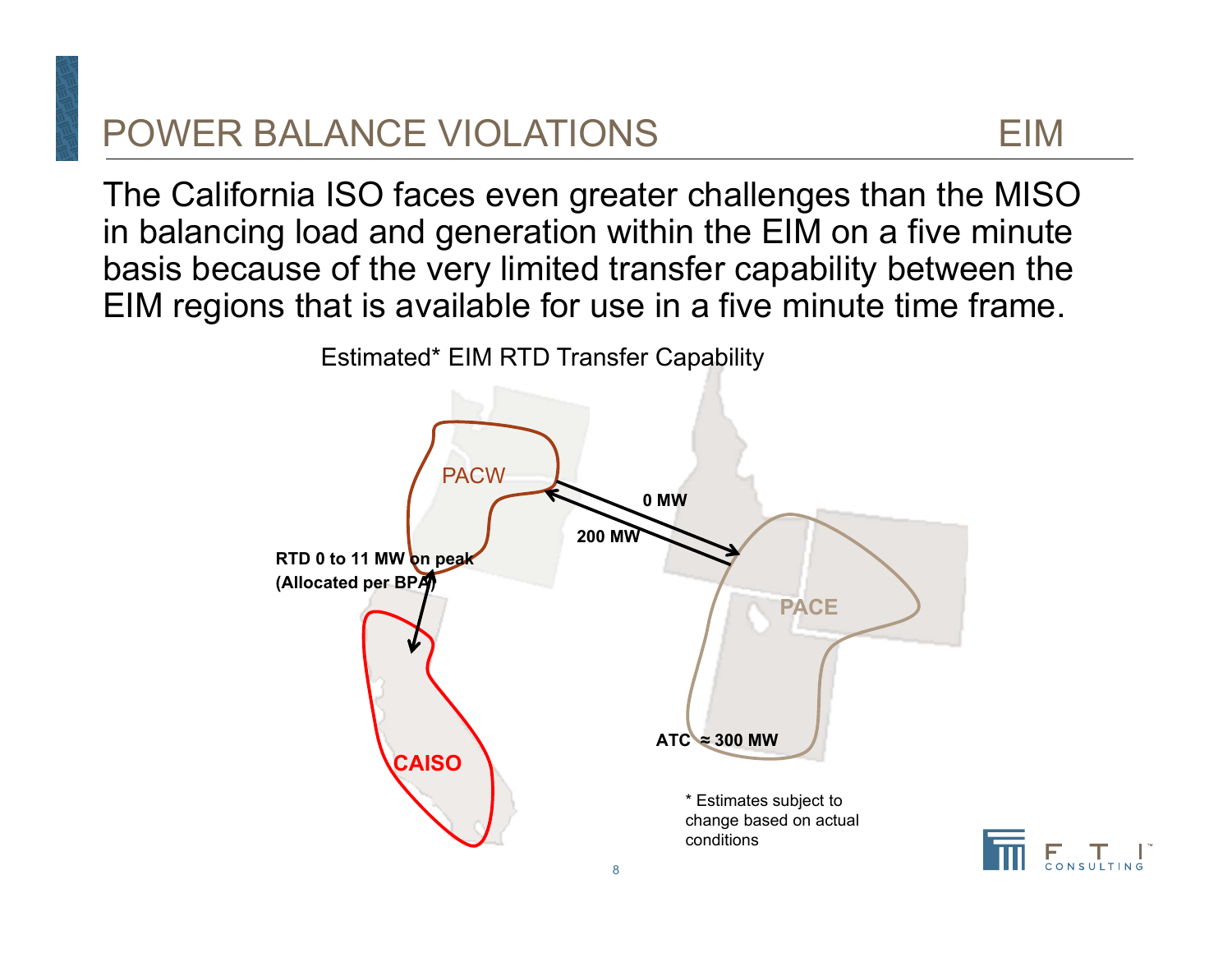# POWER BALANCE VIOLATIONS EIM

The California ISO faces even greater challenges than the MISO in balancing load and generation within the EIM on a five minute basis because of the very limited transfer capability between the EIM regions that is available for use in a five minute time frame.



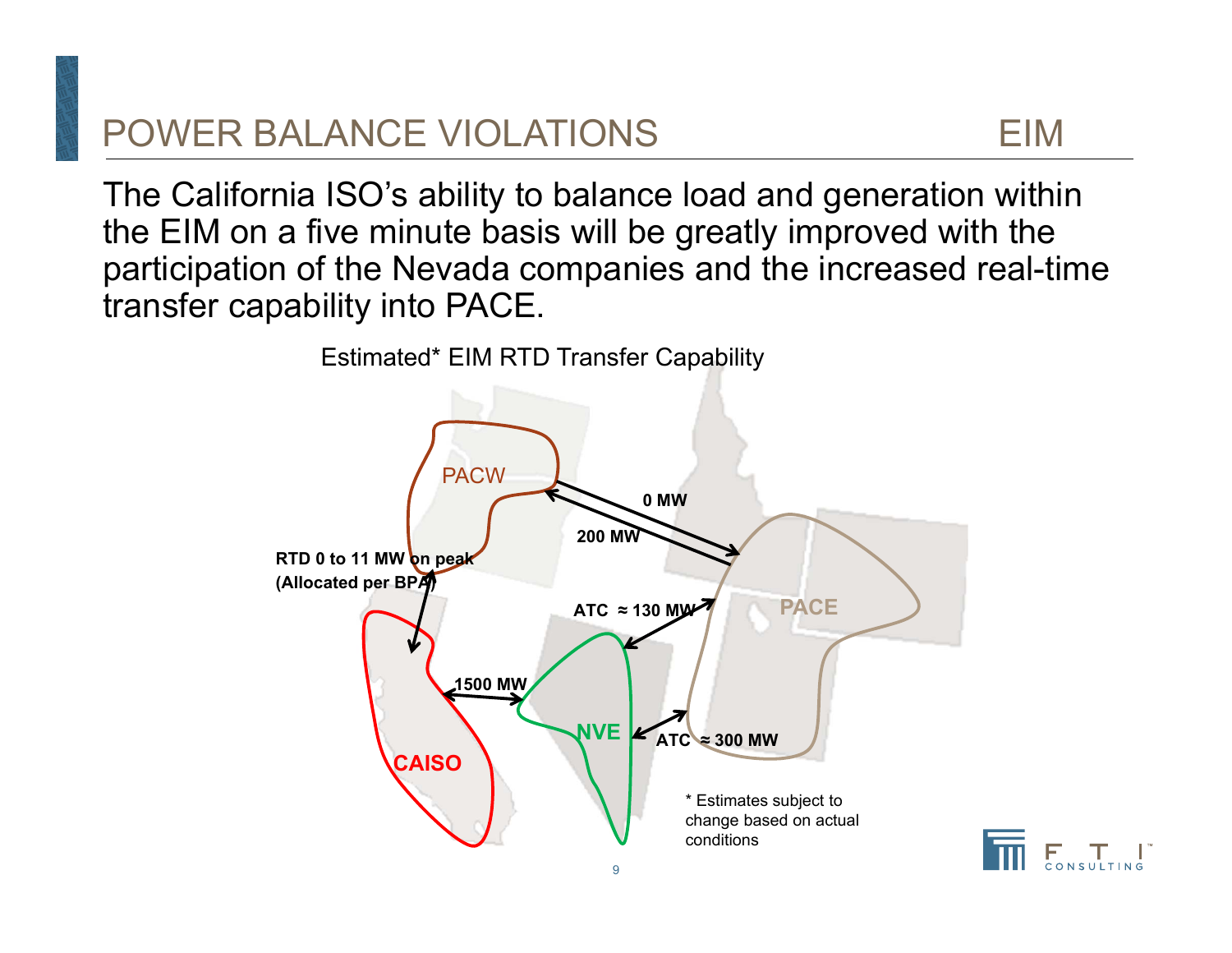# POWER BALANCE VIOLATIONS EIM

The California ISO's ability to balance load and generation within the EIM on a five minute basis will be greatly improved with the participation of the Nevada companies and the increased real-time transfer capability into PACE.



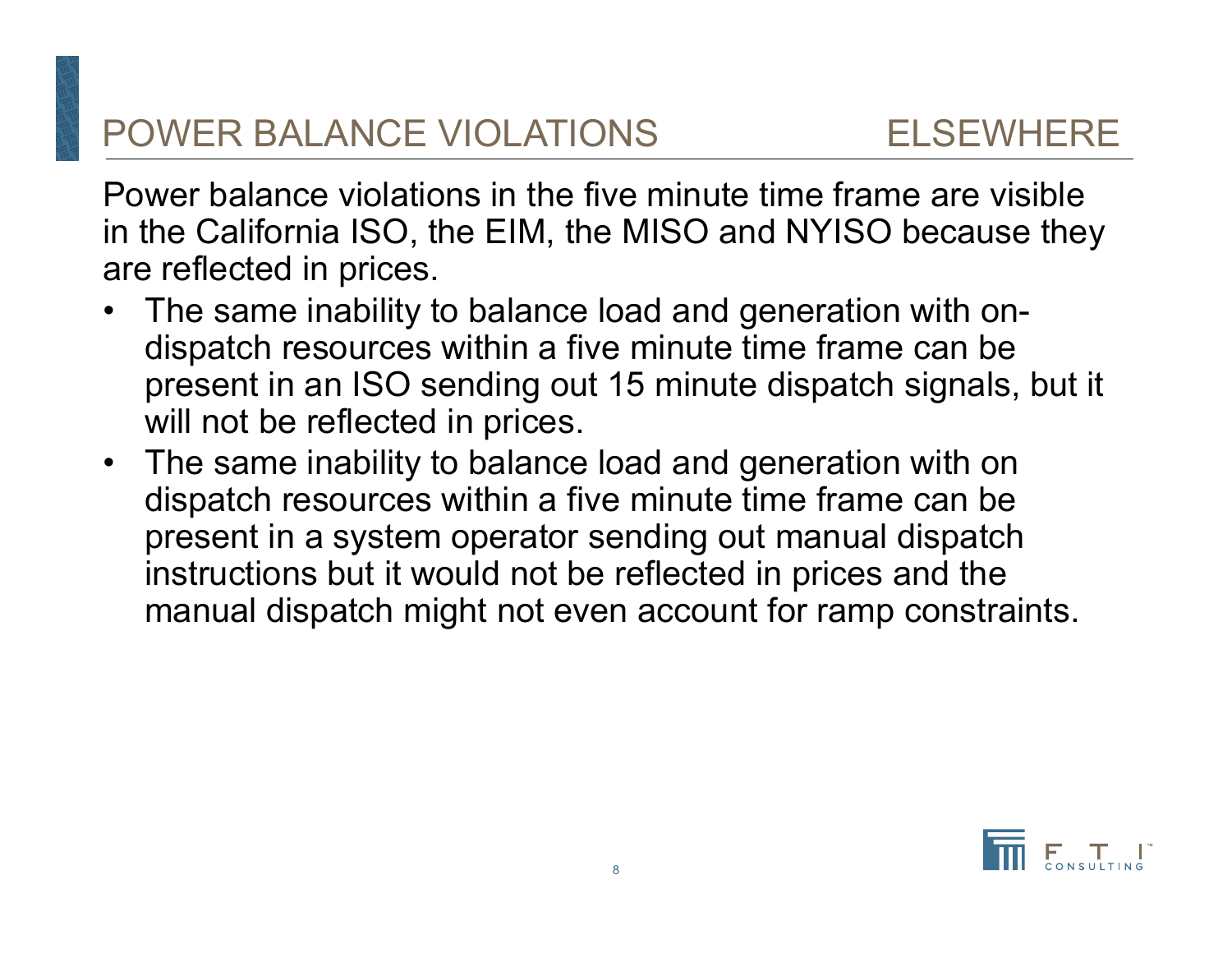# POWER BALANCE VIOLATIONS ELSEWHERE

Power balance violations in the five minute time frame are visible in the California ISO, the EIM, the MISO and NYISO because they are reflected in prices.

- $\bullet$  The same inability to balance load and generation with ondispatch resources within a five minute time frame can be present in an ISO sending out 15 minute dispatch signals, but it will not be reflected in prices.
- $\bullet$  The same inability to balance load and generation with on dispatch resources within a five minute time frame can be present in a system operator sending out manual dispatch instructions but it would not be reflected in prices and the manual dispatch might not even account for ramp constraints.

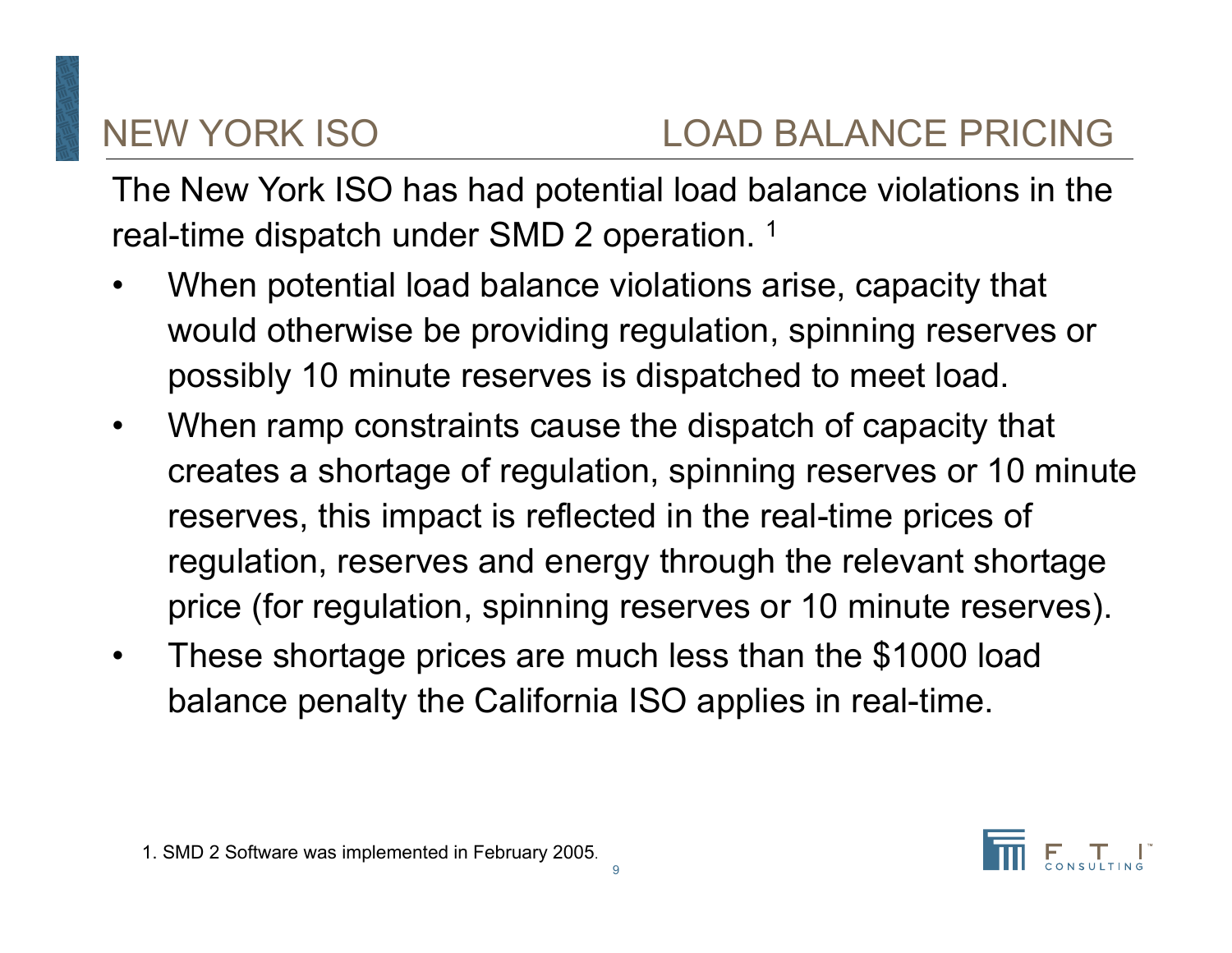The New York ISO has had potential load balance violations in the real-time dispatch under SMD 2 operation. 1

- • When potential load balance violations arise, capacity that would otherwise be providing regulation, spinning reserves or possibly 10 minute reserves is dispatched to meet load.
- • When ramp constraints cause the dispatch of capacity that creates a shortage of regulation, spinning reserves or 10 minute reserves, this impact is reflected in the real-time prices of regulation, reserves and energy through the relevant shortage price (for regulation, spinning reserves or 10 minute reserves).
- • These shortage prices are much less than the \$1000 load balance penalty the California ISO applies in real-time.

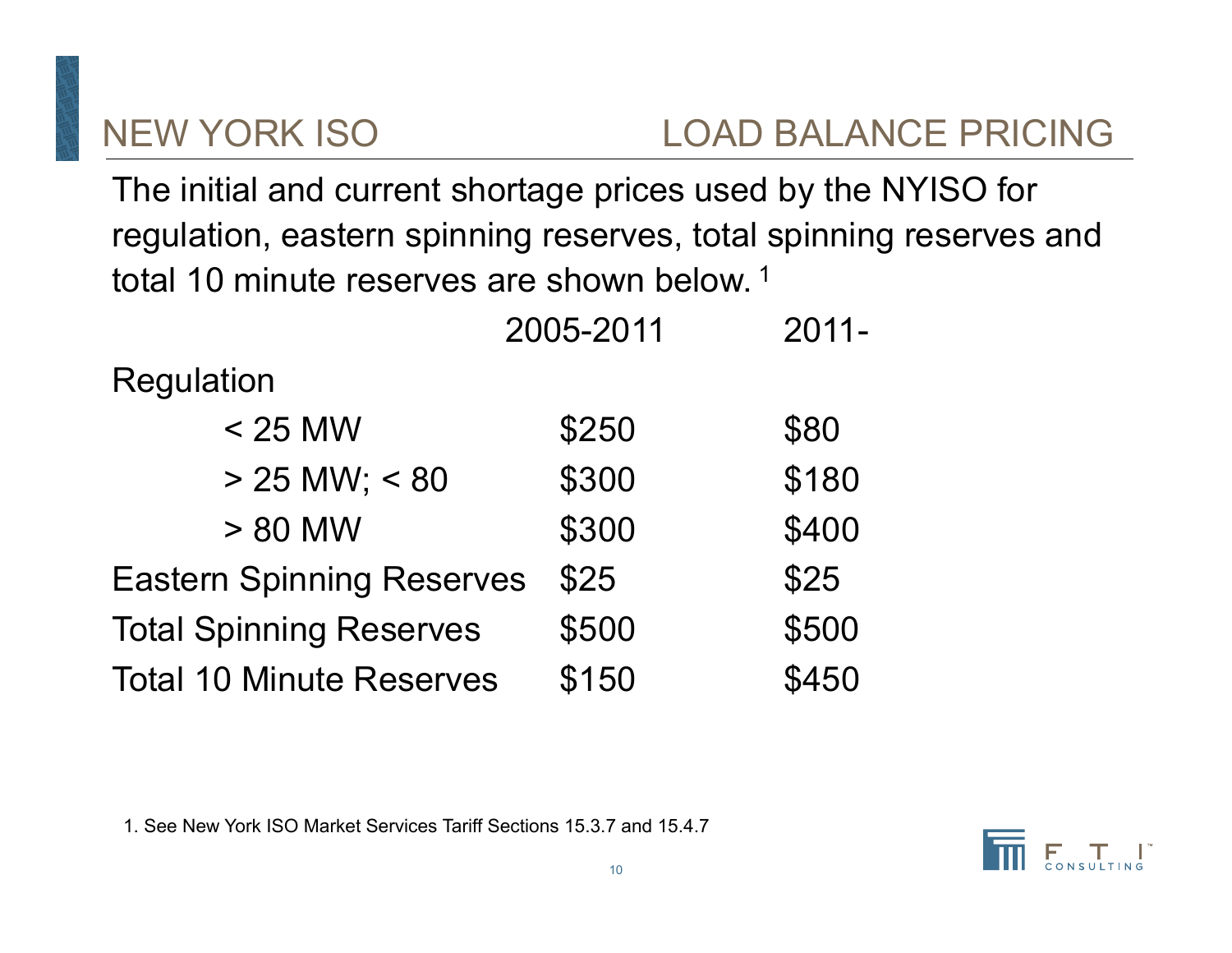The initial and current shortage prices used by the NYISO for regulation, eastern spinning reserves, total spinning reserves and total 10 minute reserves are shown below. <sup>1</sup>

| 2005-2011                        |       | $2011 -$ |
|----------------------------------|-------|----------|
| <b>Regulation</b>                |       |          |
| $<$ 25 MW                        | \$250 | \$80     |
| $> 25$ MW; < 80                  | \$300 | \$180    |
| > 80 MW                          | \$300 | \$400    |
| <b>Eastern Spinning Reserves</b> | \$25  | \$25     |
| <b>Total Spinning Reserves</b>   | \$500 | \$500    |
| <b>Total 10 Minute Reserves</b>  | \$150 | \$450    |

1. See New York ISO Market Services Tariff Sections 15.3.7 and 15.4.7

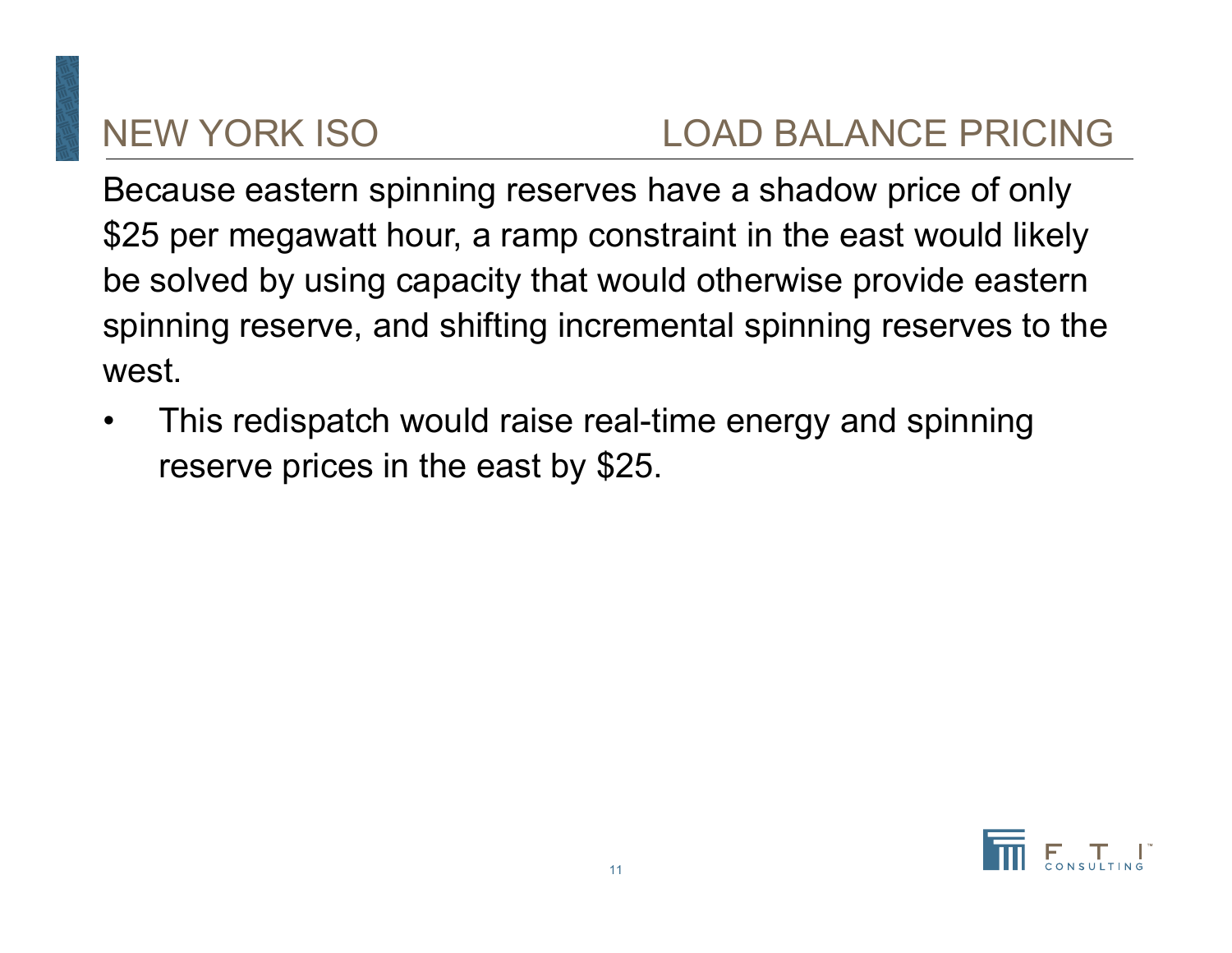# NEW YORK ISO LOAD BALANCE PRICING

Because eastern spinning reserves have a shadow price of only \$25 per megawatt hour, a ramp constraint in the east would likely be solved by using capacity that would otherwise provide eastern spinning reserve, and shifting incremental spinning reserves to the west.

• This redispatch would raise real-time energy and spinning reserve prices in the east by \$25.

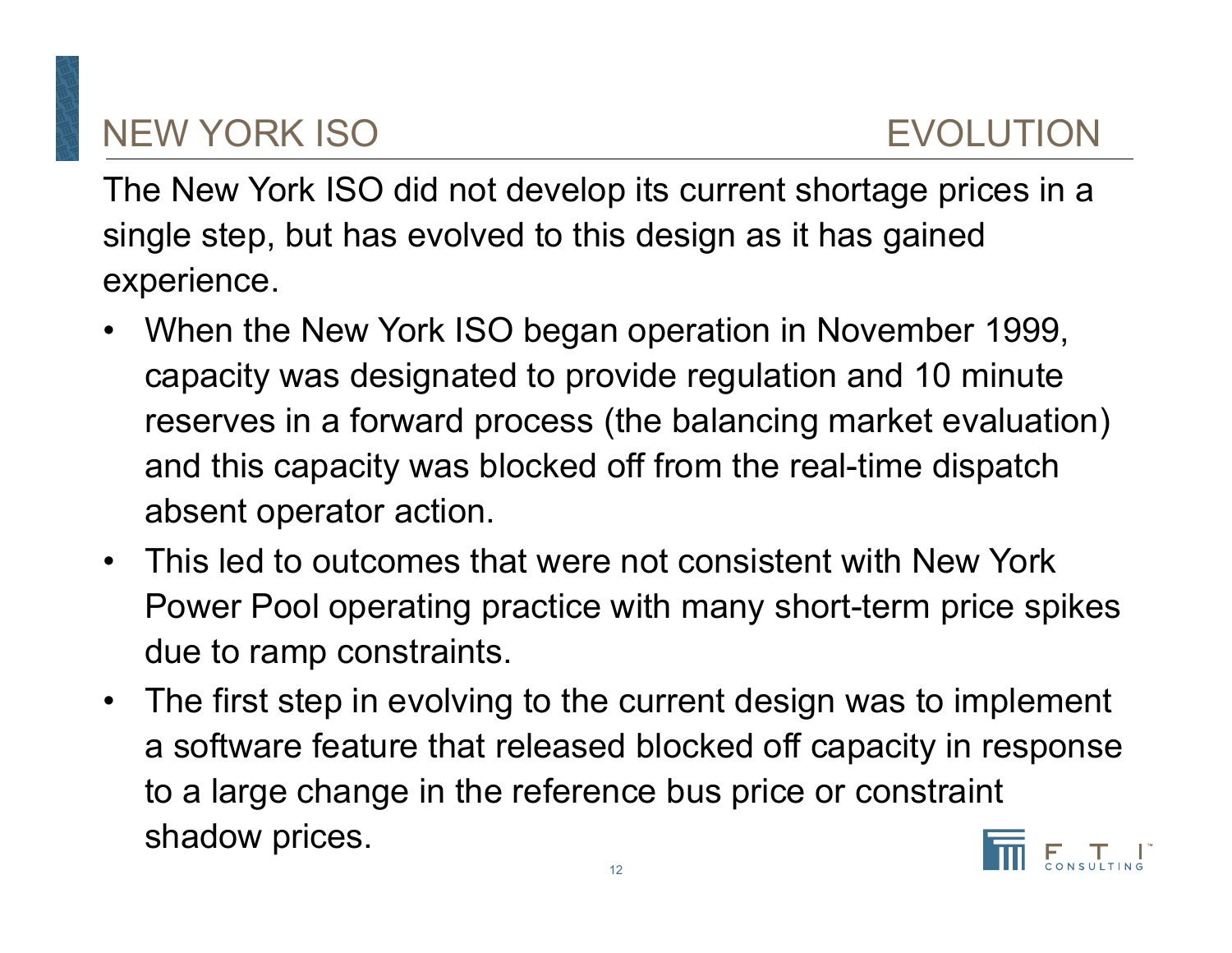# NEW YORK ISO EVOLUTION

The New York ISO did not develop its current shortage prices in a single step, but has evolved to this design as it has gained experience.

- $\bullet$  When the New York ISO began operation in November 1999, capacity was designated to provide regulation and 10 minute reserves in a forward process (the balancing market evaluation) and this capacity was blocked off from the real-time dispatch absent operator action.
- $\bullet$  This led to outcomes that were not consistent with New York Power Pool operating practice with many short-term price spikes due to ramp constraints.
- $\bullet$  The first step in evolving to the current design was to implement a software feature that released blocked off capacity in response to a large change in the reference bus price or constraint shadow prices.

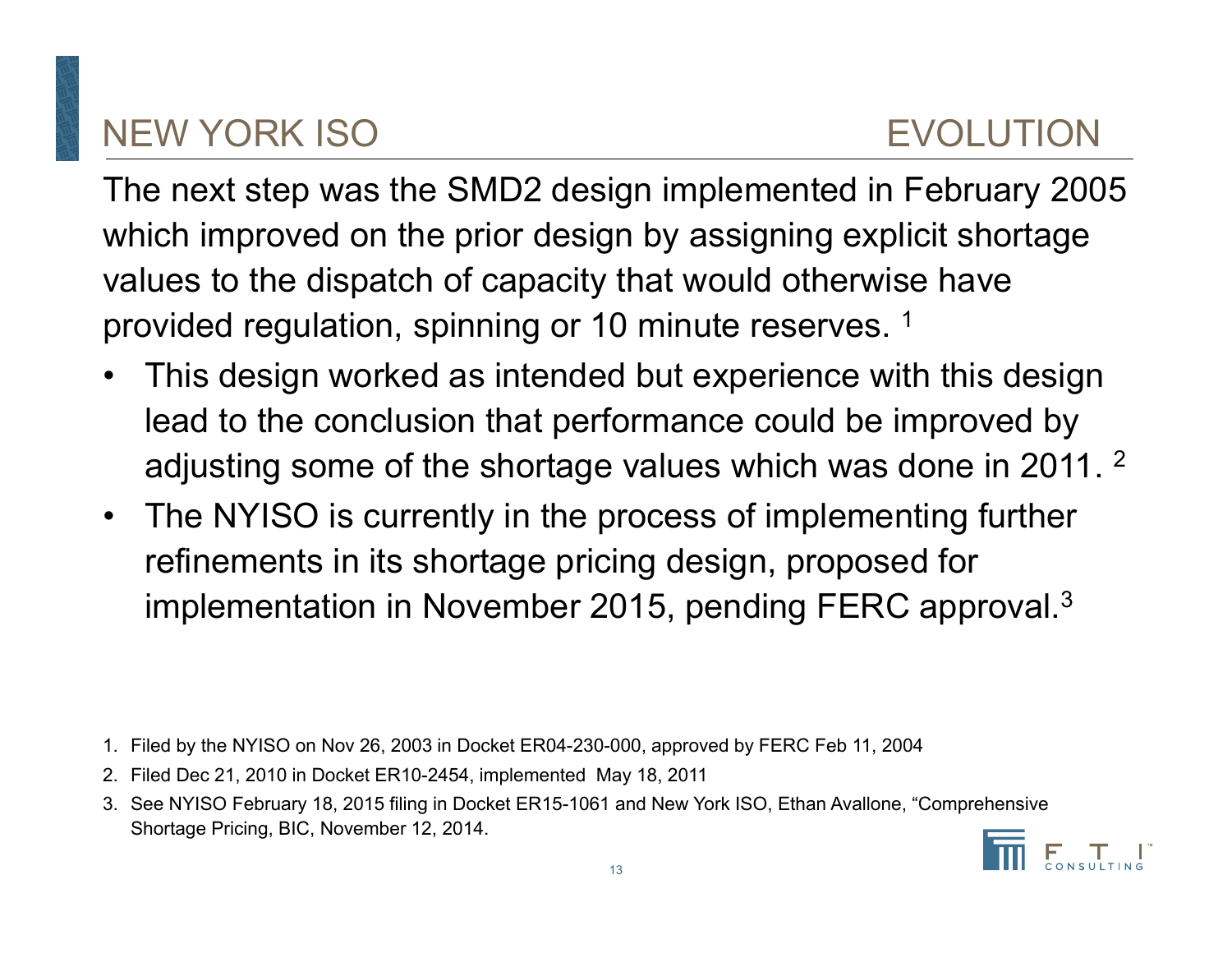# NEW YORK ISO EVOLUTION

The next step was the SMD2 design implemented in February 2005 which improved on the prior design by assigning explicit shortage values to the dispatch of capacity that would otherwise have provided regulation, spinning or 10 minute reserves. 1

- • This design worked as intended but experience with this design lead to the conclusion that performance could be improved by adjusting some of the shortage values which was done in 2011. 2
- $\bullet$  The NYISO is currently in the process of implementing further refinements in its shortage pricing design, proposed for implementation in November 2015, pending FERC approval. $^3$

- 1. Filed by the NYISO on Nov 26, 2003 in Docket ER04-230-000, approved by FERC Feb 11, 2004
- 2. Filed Dec 21, 2010 in Docket ER10-2454, implemented May 18, 2011
- 3. See NYISO February 18, 2015 filing in Docket ER15-1061 and New York ISO, Ethan Avallone, "Comprehensive Shortage Pricing, BIC, November 12, 2014.

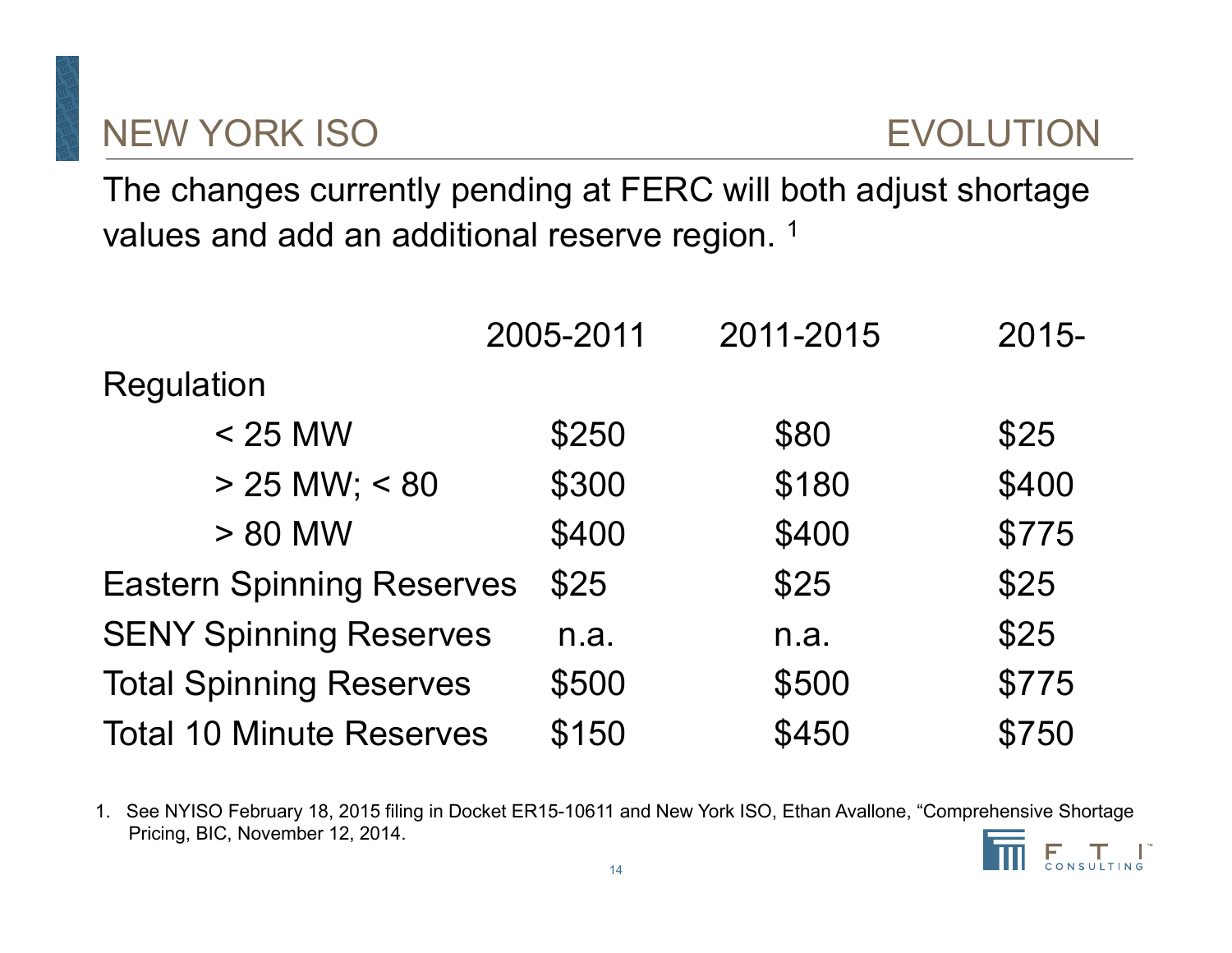# **NEW YORK ISO**

The changes currently pending at FERC will both adjust shortage values and add an additional reserve region.<sup>1</sup>

|                                  | 2005-2011 | 2011-2015 | $2015 -$ |
|----------------------------------|-----------|-----------|----------|
| Regulation                       |           |           |          |
| $<$ 25 MW                        | \$250     | \$80      | \$25     |
| $> 25$ MW; < 80                  | \$300     | \$180     | \$400    |
| > 80 MW                          | \$400     | \$400     | \$775    |
| <b>Eastern Spinning Reserves</b> | \$25      | \$25      | \$25     |
| <b>SENY Spinning Reserves</b>    | n.a.      | n.a.      | \$25     |
| <b>Total Spinning Reserves</b>   | \$500     | \$500     | \$775    |
| <b>Total 10 Minute Reserves</b>  | \$150     | \$450     | \$750    |

1. See NYISO February 18, 2015 filing in Docket ER15-10611 and New York ISO, Ethan Avallone, "Comprehensive Shortage Pricing, BIC, November 12, 2014.

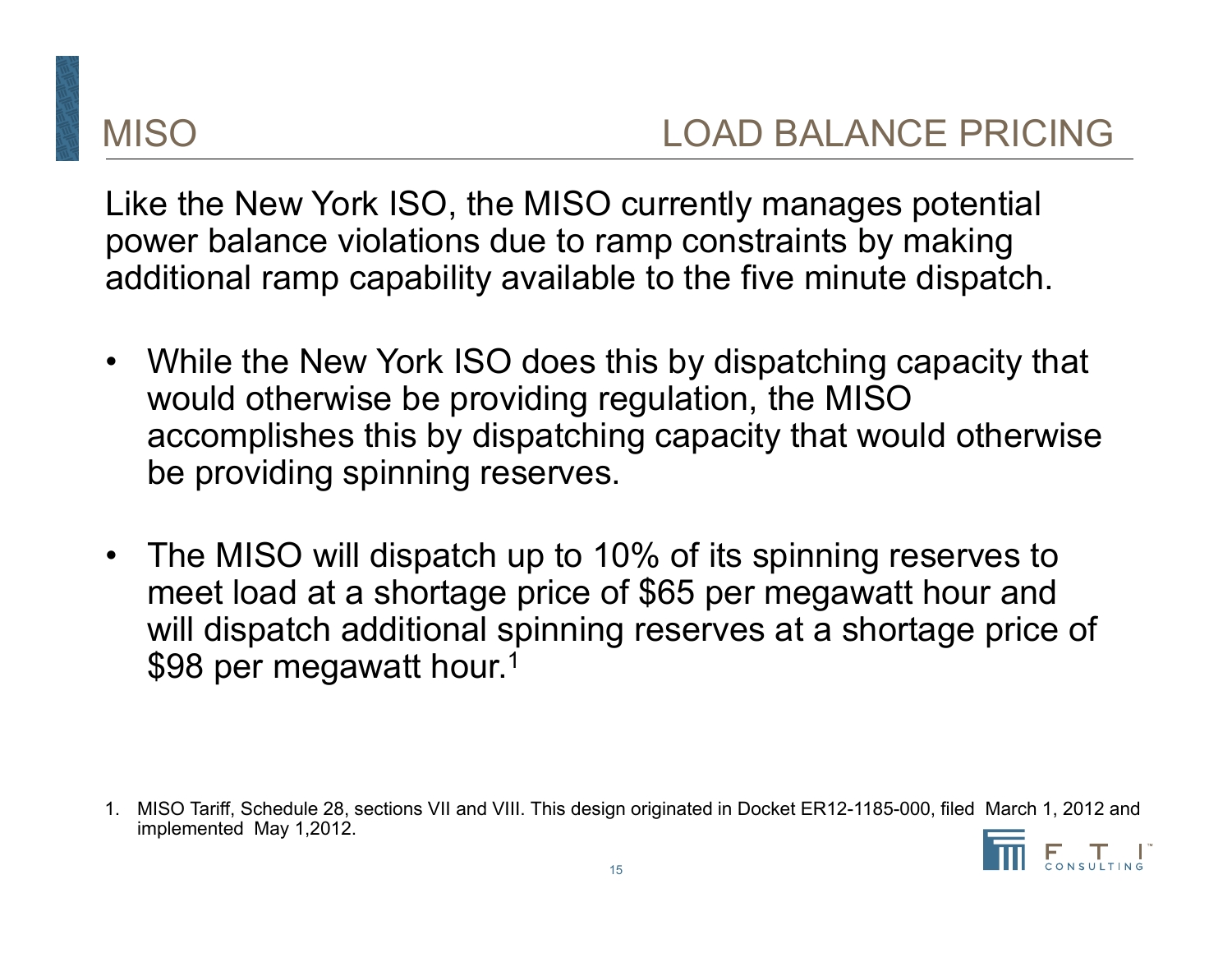Like the New York ISO, the MISO currently manages potential power balance violations due to ramp constraints by making additional ramp capability available to the five minute dispatch.

- $\bullet$  While the New York ISO does this by dispatching capacity that would otherwise be providing regulation, the MISO accomplishes this by dispatching capacity that would otherwise be providing spinning reserves.
- $\bullet$  The MISO will dispatch up to 10% of its spinning reserves to meet load at a shortage price of \$65 per megawatt hour and will dispatch additional spinning reserves at a shortage price of \$98 per megawatt hour.<sup>1</sup>

<sup>1.</sup> MISO Tariff, Schedule 28, sections VII and VIII. This design originated in Docket ER12-1185-000, filed March 1, 2012 and implemented May 1,2012.

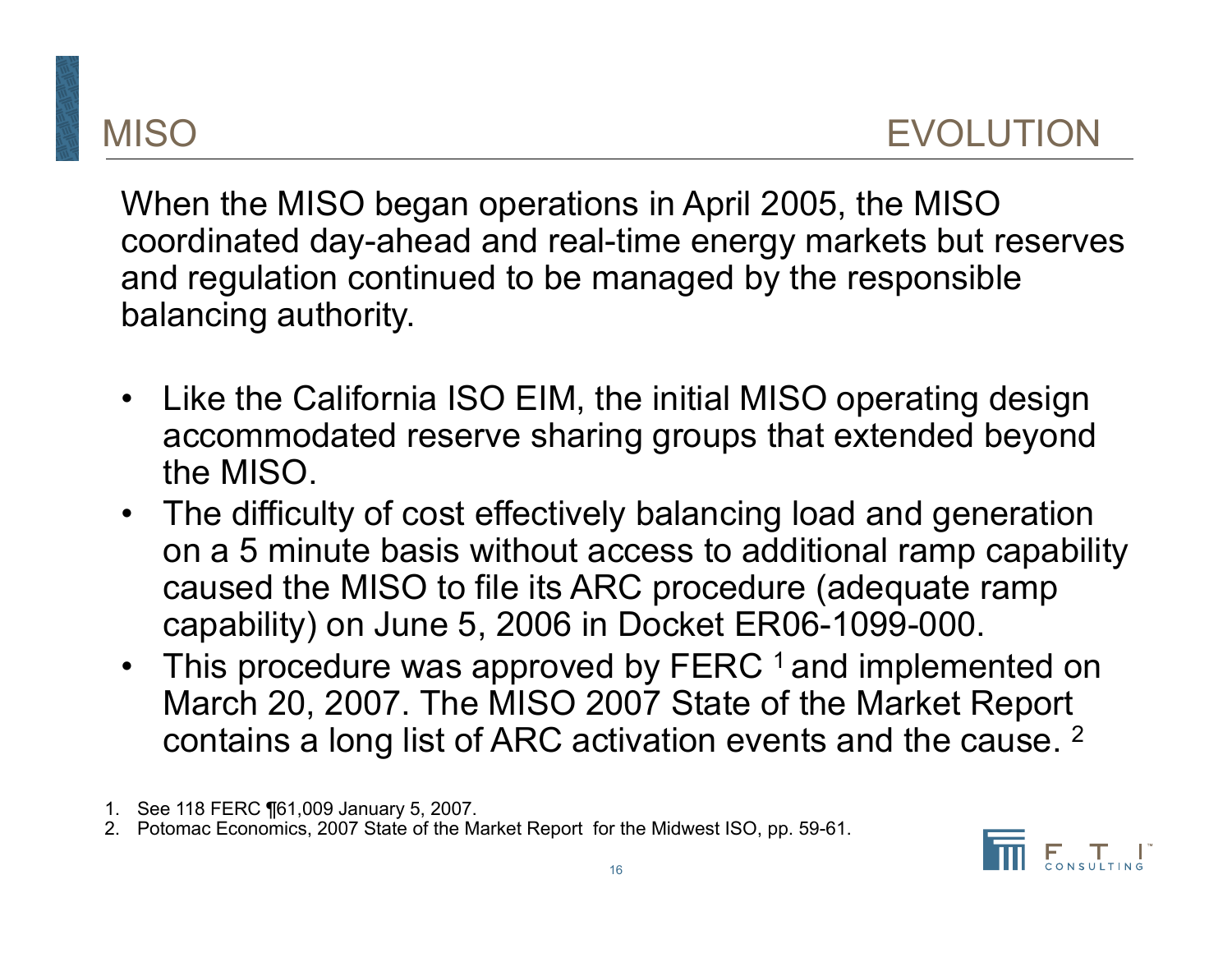When the MISO began operations in April 2005, the MISO coordinated day-ahead and real-time energy markets but reserves and regulation continued to be managed by the responsible balancing authority.

- Like the California ISO EIM, the initial MISO operating design accommodated reserve sharing groups that extended beyond the MISO.
- The difficulty of cost effectively balancing load and generation on a 5 minute basis without access to additional ramp capability caused the MISO to file its ARC procedure (adequate ramp capability) on June 5, 2006 in Docket ER06-1099-000.
- •This procedure was approved by FERC 1 and implemented on March 20, 2007. The MISO 2007 State of the Market Report contains a long list of ARC activation events and the cause. 2
- 1. See 118 FERC ¶61,009 January 5, 2007.
- 2. Potomac Economics, 2007 State of the Market Report for the Midwest ISO, pp. 59-61.

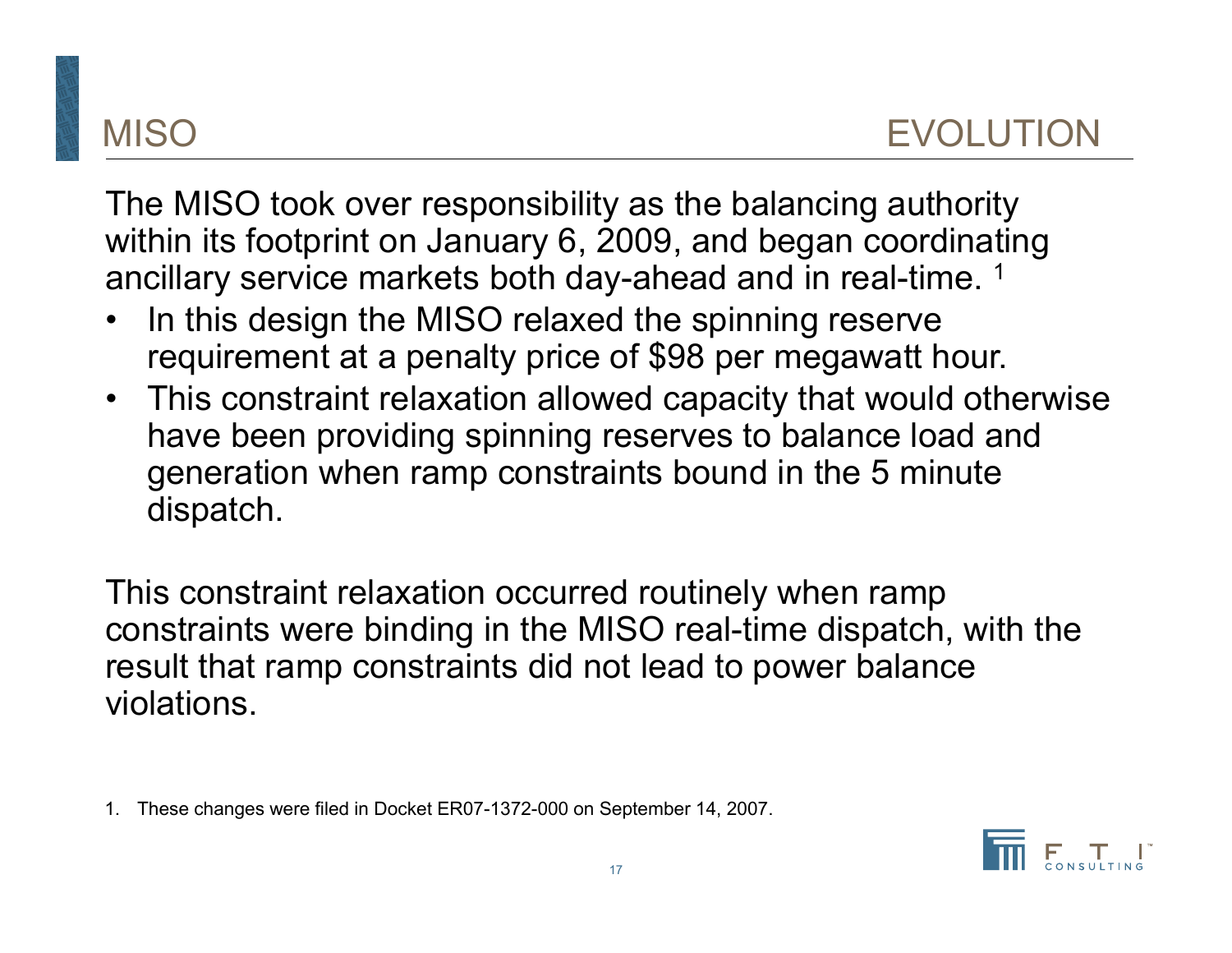# MISO EVOLUTION

The MISO took over responsibility as the balancing authority within its footprint on January 6, 2009, and began coordinating ancillary service markets both day-ahead and in real-time. 1

- •In this design the MISO relaxed the spinning reserve requirement at a penalty price of \$98 per megawatt hour.
- • This constraint relaxation allowed capacity that would otherwise have been providing spinning reserves to balance load and generation when ramp constraints bound in the 5 minute dispatch.

This constraint relaxation occurred routinely when ramp constraints were binding in the MISO real-time dispatch, with the result that ramp constraints did not lead to power balance violations.

1. These changes were filed in Docket ER07-1372-000 on September 14, 2007.

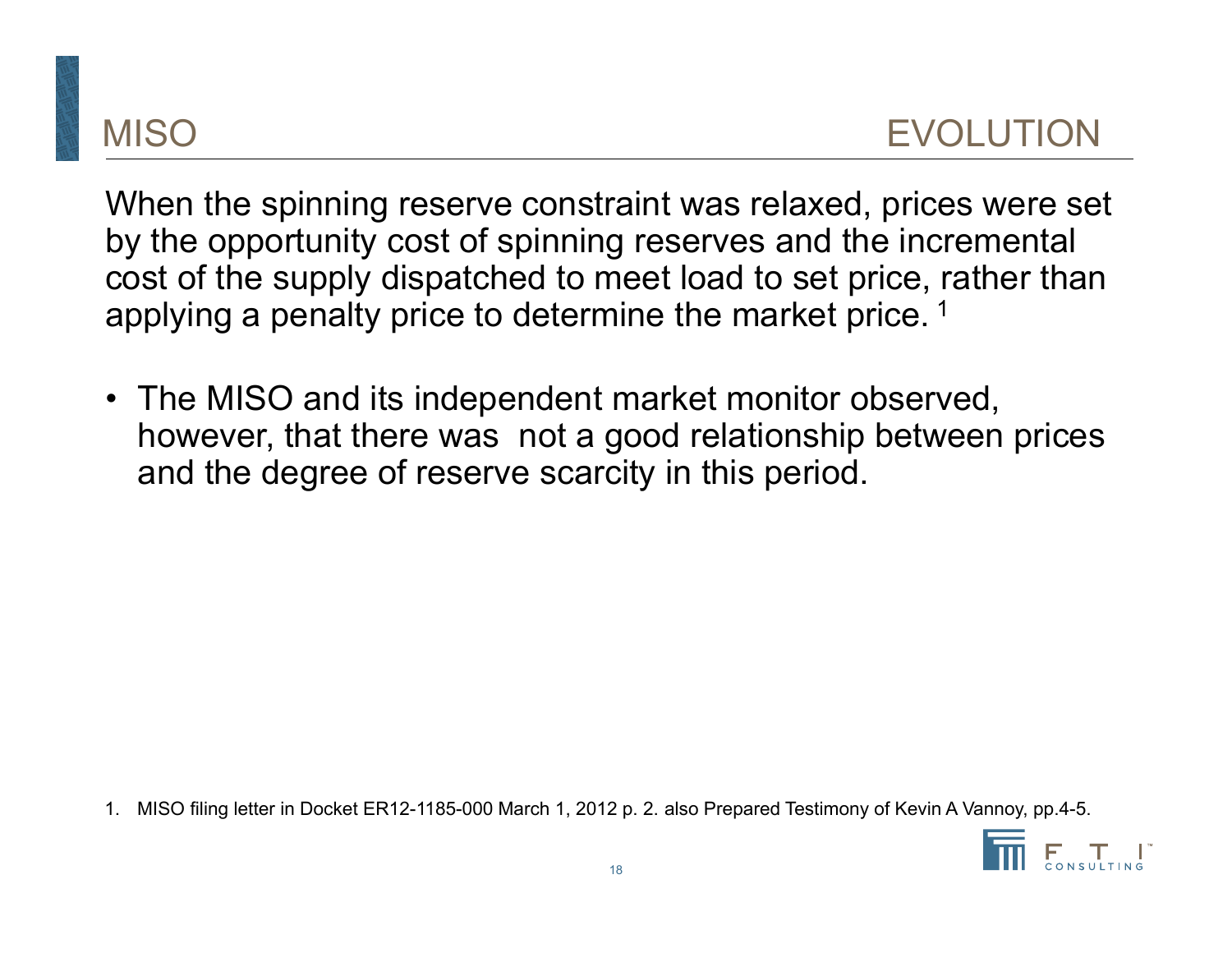When the spinning reserve constraint was relaxed, prices were set by the opportunity cost of spinning reserves and the incremental cost of the supply dispatched to meet load to set price, rather than applying a penalty price to determine the market price.<sup>1</sup>

• The MISO and its independent market monitor observed, however, that there was not a good relationship between prices and the degree of reserve scarcity in this period.

1. MISO filing letter in Docket ER12-1185-000 March 1, 2012 p. 2. also Prepared Testimony of Kevin A Vannoy, pp.4-5.

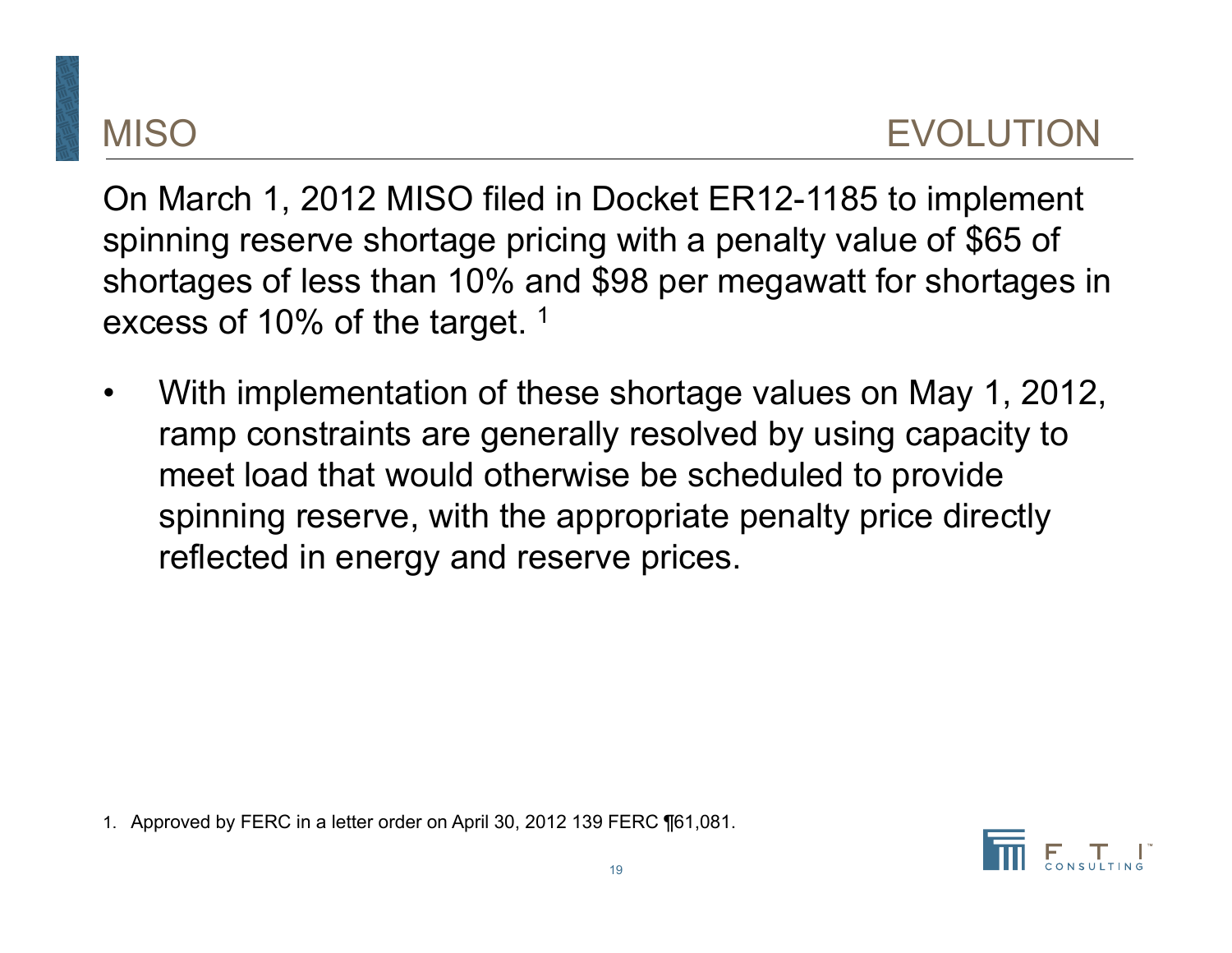On March 1, 2012 MISO filed in Docket ER12-1185 to implement spinning reserve shortage pricing with a penalty value of \$65 of shortages of less than 10% and \$98 per megawatt for shortages in excess of 10% of the target. 1

• With implementation of these shortage values on May 1, 2012, ramp constraints are generally resolved by using capacity to meet load that would otherwise be scheduled to provide spinning reserve, with the appropriate penalty price directly reflected in energy and reserve prices.

1. Approved by FERC in a letter order on April 30, 2012 139 FERC ¶61,081.

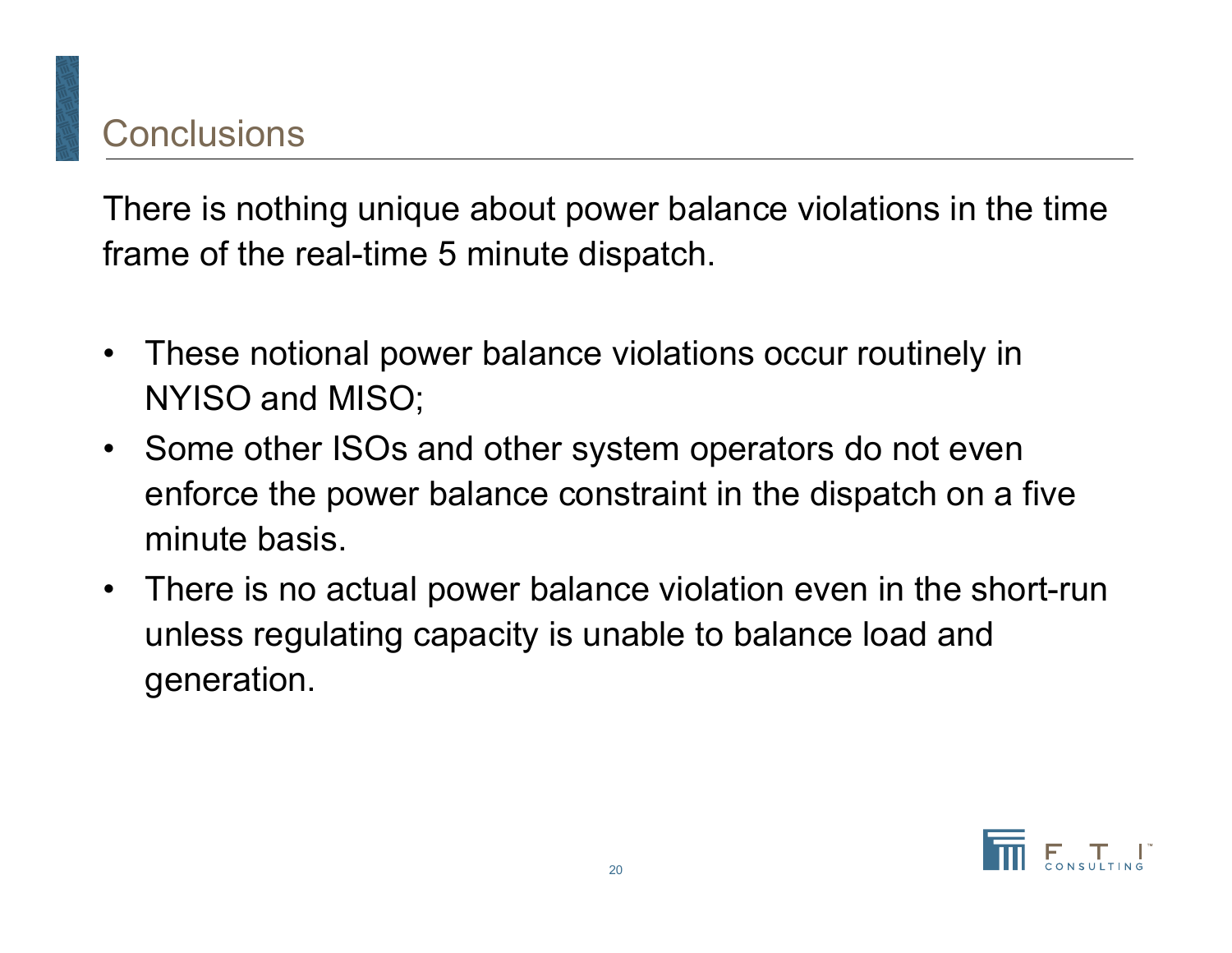There is nothing unique about power balance violations in the time frame of the real-time 5 minute dispatch.

- $\bullet$  These notional power balance violations occur routinely in NYISO and MISO;
- $\bullet$  Some other ISOs and other system operators do not even enforce the power balance constraint in the dispatch on a five minute basis.
- $\bullet$  There is no actual power balance violation even in the short-run unless regulating capacity is unable to balance load and generation.

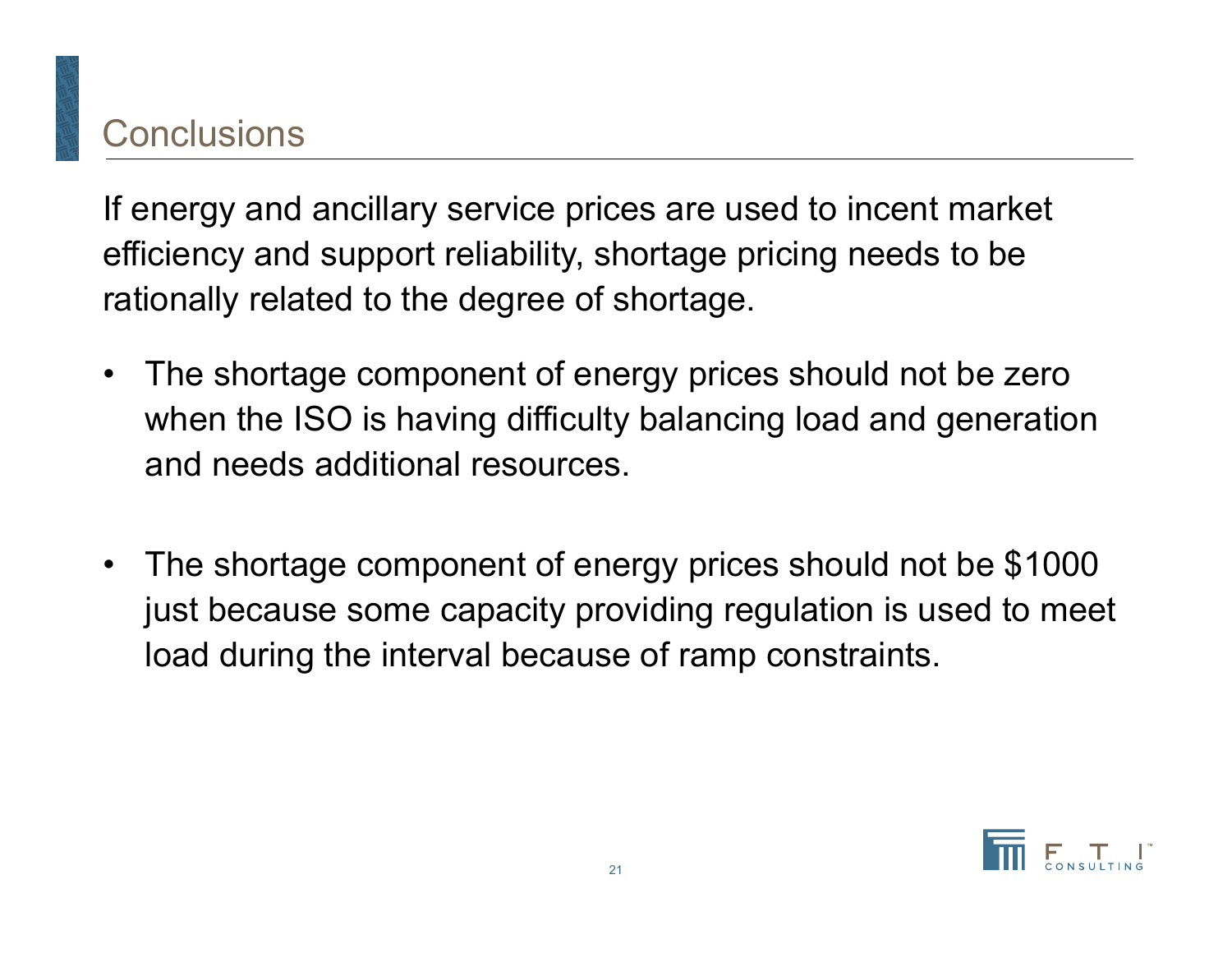# Conclusions

If energy and ancillary service prices are used to incent market efficiency and support reliability, shortage pricing needs to be rationally related to the degree of shortage.

- $\bullet$  The shortage component of energy prices should not be zero when the ISO is having difficulty balancing load and generation and needs additional resources.
- $\bullet$  The shortage component of energy prices should not be \$1000 just because some capacity providing regulation is used to meet load during the interval because of ramp constraints.